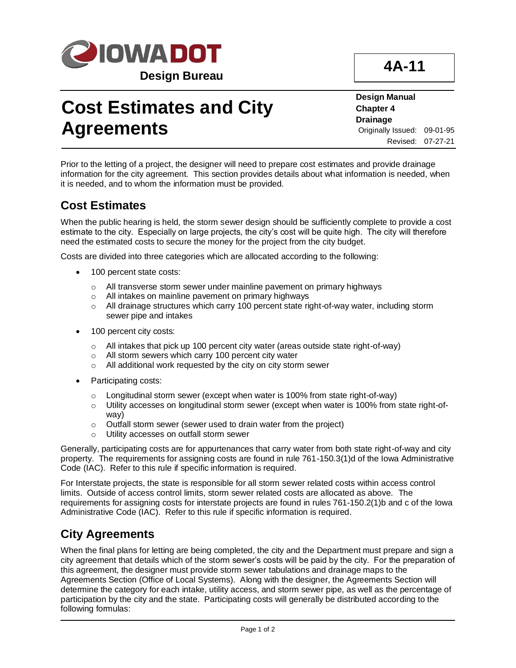

## **Cost Estimates and City Agreements**

**4A-11**

**Design Manual Chapter 4 Drainage** Originally Issued: 09-01-95 Revised: 07-27-21

Prior to the letting of a project, the designer will need to prepare cost estimates and provide drainage information for the city agreement. This section provides details about what information is needed, when it is needed, and to whom the information must be provided.

## **Cost Estimates**

When the public hearing is held, the storm sewer design should be sufficiently complete to provide a cost estimate to the city. Especially on large projects, the city's cost will be quite high. The city will therefore need the estimated costs to secure the money for the project from the city budget.

Costs are divided into three categories which are allocated according to the following:

- 100 percent state costs:
	- o All transverse storm sewer under mainline pavement on primary highways
	- o All intakes on mainline pavement on primary highways
	- o All drainage structures which carry 100 percent state right-of-way water, including storm sewer pipe and intakes
- 100 percent city costs:
	- o All intakes that pick up 100 percent city water (areas outside state right-of-way)
	- o All storm sewers which carry 100 percent city water
	- o All additional work requested by the city on city storm sewer
- Participating costs:
	- $\circ$  Longitudinal storm sewer (except when water is 100% from state right-of-way)
	- $\circ$  Utility accesses on longitudinal storm sewer (except when water is 100% from state right-ofway)
	- $\circ$  Outfall storm sewer (sewer used to drain water from the project)
	- o Utility accesses on outfall storm sewer

Generally, participating costs are for appurtenances that carry water from both state right-of-way and city property. The requirements for assigning costs are found in rule 761-150.3(1)d of the Iowa Administrative Code (IAC). Refer to this rule if specific information is required.

For Interstate projects, the state is responsible for all storm sewer related costs within access control limits. Outside of access control limits, storm sewer related costs are allocated as above. The requirements for assigning costs for interstate projects are found in rules 761-150.2(1)b and c of the Iowa Administrative Code (IAC). Refer to this rule if specific information is required.

## **City Agreements**

When the final plans for letting are being completed, the city and the Department must prepare and sign a city agreement that details which of the storm sewer's costs will be paid by the city. For the preparation of this agreement, the designer must provide storm sewer tabulations and drainage maps to the Agreements Section (Office of Local Systems). Along with the designer, the Agreements Section will determine the category for each intake, utility access, and storm sewer pipe, as well as the percentage of participation by the city and the state. Participating costs will generally be distributed according to the following formulas: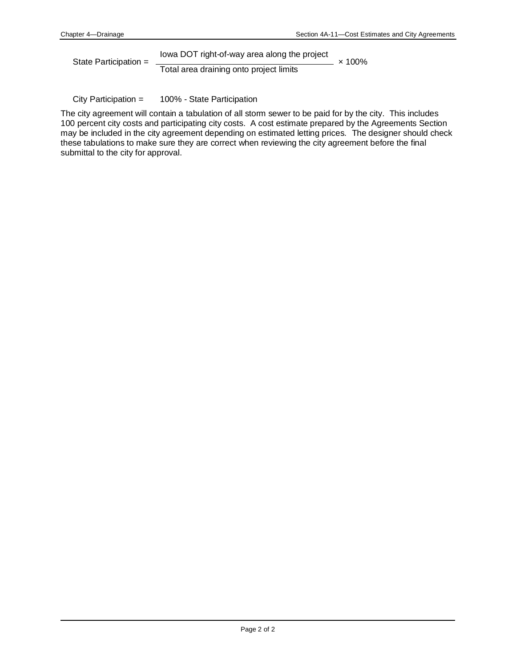State Participation = Iowa DOT right-of-way area along the project × 100% Total area draining onto project limits

City Participation = 100% - State Participation

The city agreement will contain a tabulation of all storm sewer to be paid for by the city. This includes 100 percent city costs and participating city costs. A cost estimate prepared by the Agreements Section may be included in the city agreement depending on estimated letting prices. The designer should check these tabulations to make sure they are correct when reviewing the city agreement before the final submittal to the city for approval.